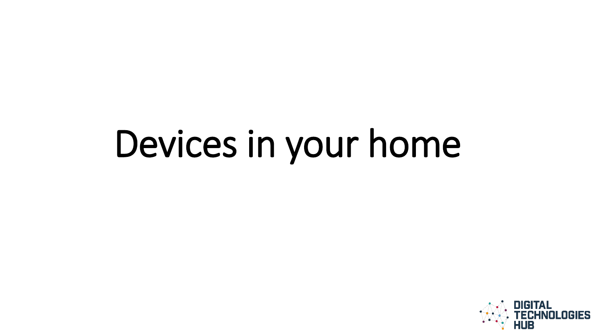# Devices in your home

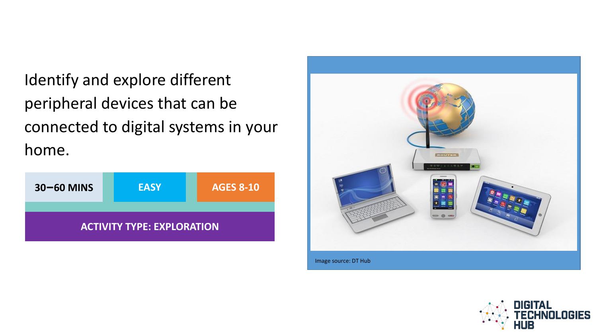Identify and explore different peripheral devices that can be connected to digital systems in your home.

| $30 - 60$ MINS                    | <b>EASY</b> | <b>AGES 8-10</b> |  |  |
|-----------------------------------|-------------|------------------|--|--|
| <b>ACTIVITY TYPE: EXPLORATION</b> |             |                  |  |  |



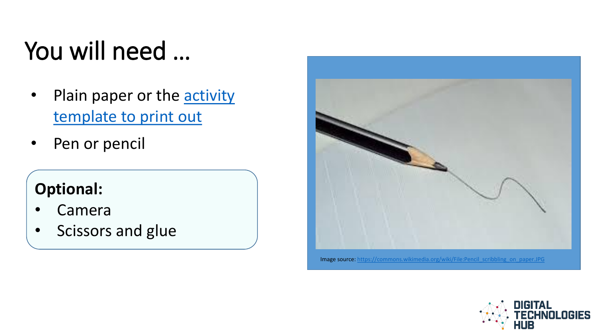### You will need …

- Plain paper or the **activity** template to print out
- Pen or pencil

#### **Optional:**

- **Camera**
- Scissors and glue



Image source: [https://commons.wikimedia.org/wiki/File:Pencil\\_scribbling\\_on\\_paper.JPG](https://commons.wikimedia.org/wiki/File:Pencil_scribbling_on_paper.JPG)

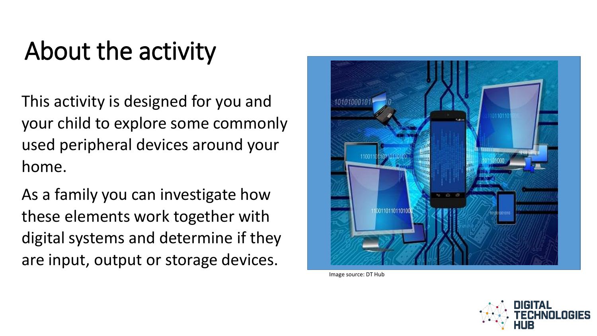### About the activity

This activity is designed for you and your child to explore some commonly used peripheral devices around your home.

As a family you can investigate how these elements work together with digital systems and determine if they are input, output or storage devices.



Image source: DT Hub

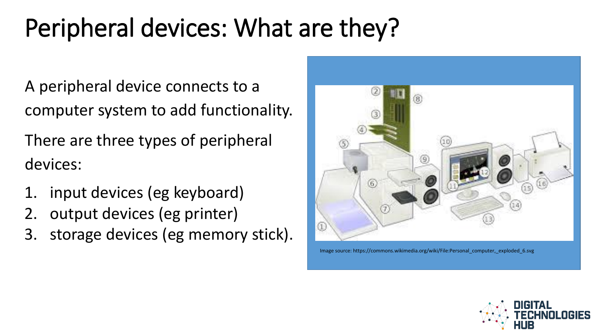#### Peripheral devices: What are they?

A peripheral device connects to a computer system to add functionality.

There are three types of peripheral devices:

- 1. input devices (eg keyboard)
- 2. output devices (eg printer)
- <span id="page-4-0"></span>3. storage devices (eg memory stick).



Image source: https://commons.wikimedia.org/wiki/File:Personal\_computer,\_exploded\_6.svg

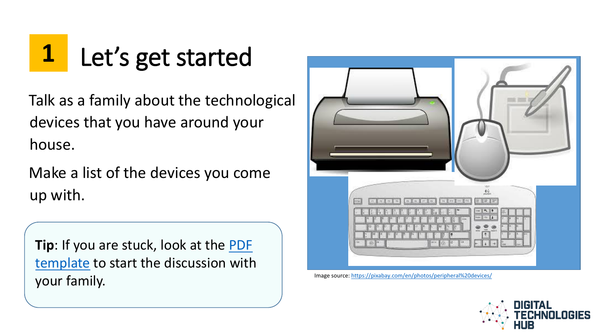### **1** Let's get started

Talk as a family about the technological devices that you have around your house.

Make a list of the devices you come up with.

**Tip**[: If you are stuck, look at the PDF](http://www.digitaltechnologieshub.edu.au/docs/default-source/family-tasks/peripheral-device-sketch-sheet_ed.pdf) template to start the discussion with your family. Image source: [https://pixabay.com/en/photos/peripheral%20devices/](https://pixabay.com/en/photos/peripheral devices/)



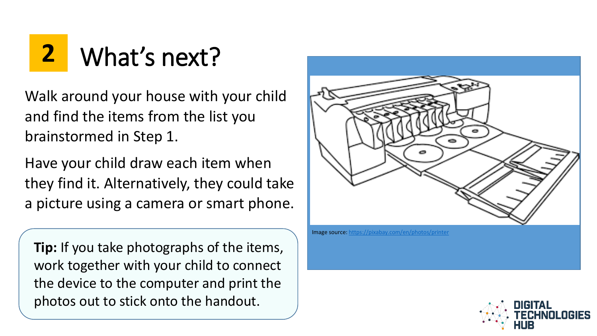### **2** What's next?

Walk around your house with your child and find the items from the list you brainstormed in Step 1.

Have your child draw each item when they find it. Alternatively, they could take a picture using a camera or smart phone.

**Tip:** If you take photographs of the items, work together with your child to connect the device to the computer and print the photos out to stick onto the handout.



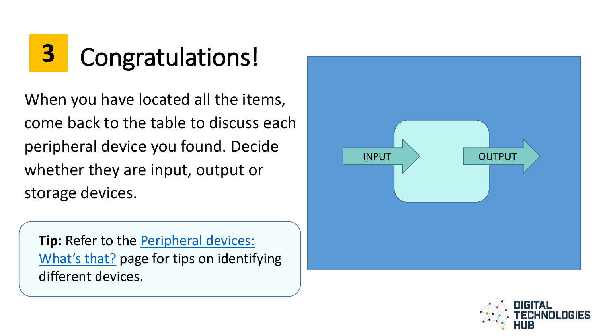## **3** Congratulations!

When you have located all the items, come back to the table to discuss each peripheral device you found. Decide whether they are input, output or storage devices.

**Tip:** [Refer to the Peripheral devices:](#page-4-0)  What's that? page for tips on identifying different devices.



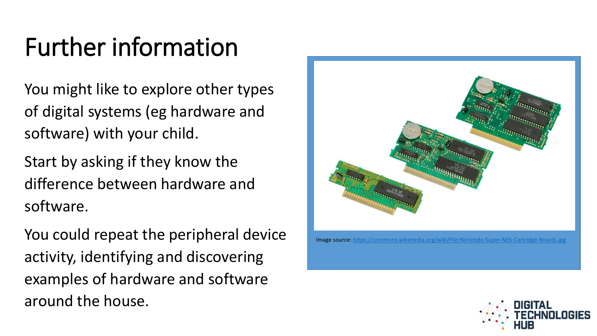### Further information

You might like to explore other types of digital systems (eg hardware and software) with your child.

Start by asking if they know the difference between hardware and software.

You could repeat the peripheral device activity, identifying and discovering examples of hardware and software around the house.



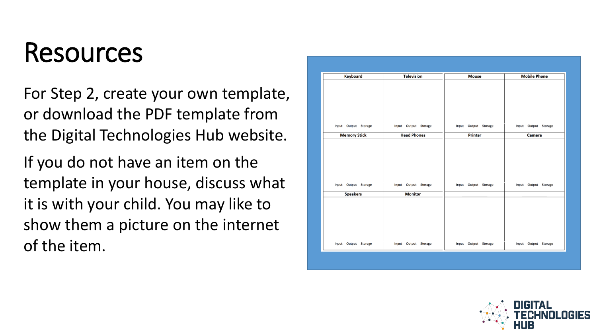### Resources

For Step 2, create your own template, or download the PDF template from the Digital Technologies Hub website.

If you do not have an item on the template in your house, discuss what it is with your child. You may like to show them a picture on the internet of the item.

| <b>Keyboard</b>                         | <b>Television</b>                      | <b>Mouse</b>         | <b>Mobile Phone</b>  |
|-----------------------------------------|----------------------------------------|----------------------|----------------------|
|                                         |                                        |                      |                      |
| Input Output Storage                    | Input Output Storage                   | Input Output Storage | Input Output Storage |
| <b>Memory Stick</b>                     | <b>Head Phones</b>                     | <b>Printer</b>       | Camera               |
| Input Output Storage<br><b>Speakers</b> | Input Output Storage<br><b>Monitor</b> | Input Output Storage | Input Output Storage |
|                                         |                                        |                      |                      |
| Input Output Storage                    | Input Output Storage                   | Input Output Storage | Input Output Storage |
|                                         |                                        |                      |                      |
|                                         |                                        |                      |                      |